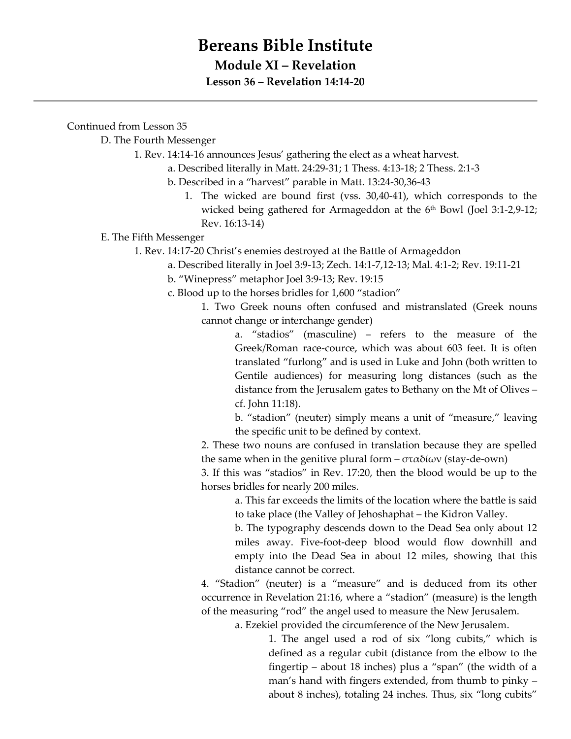## **Bereans Bible Institute**

## **Module XI – Revelation**

**Lesson 36 – Revelation 14:14-20**

Continued from Lesson 35

D. The Fourth Messenger

1. Rev. 14:14-16 announces Jesus' gathering the elect as a wheat harvest.

- a. Described literally in Matt. 24:29-31; 1 Thess. 4:13-18; 2 Thess. 2:1-3
- b. Described in a "harvest" parable in Matt. 13:24-30,36-43
	- 1. The wicked are bound first (vss. 30,40-41), which corresponds to the wicked being gathered for Armageddon at the 6<sup>th</sup> Bowl (Joel 3:1-2,9-12; Rev. 16:13-14)

E. The Fifth Messenger

- 1. Rev. 14:17-20 Christ's enemies destroyed at the Battle of Armageddon
	- a. Described literally in Joel 3:9-13; Zech. 14:1-7,12-13; Mal. 4:1-2; Rev. 19:11-21

b. "Winepress" metaphor Joel 3:9-13; Rev. 19:15

c. Blood up to the horses bridles for 1,600 "stadion"

1. Two Greek nouns often confused and mistranslated (Greek nouns cannot change or interchange gender)

a. "stadios" (masculine) – refers to the measure of the Greek/Roman race-cource, which was about 603 feet. It is often translated "furlong" and is used in Luke and John (both written to Gentile audiences) for measuring long distances (such as the distance from the Jerusalem gates to Bethany on the Mt of Olives – cf. John 11:18).

b. "stadion" (neuter) simply means a unit of "measure," leaving the specific unit to be defined by context.

2. These two nouns are confused in translation because they are spelled the same when in the genitive plural form  $-\sigma \tau \alpha \delta(\omega v)$  (stay-de-own)

3. If this was "stadios" in Rev. 17:20, then the blood would be up to the horses bridles for nearly 200 miles.

a. This far exceeds the limits of the location where the battle is said to take place (the Valley of Jehoshaphat – the Kidron Valley.

b. The typography descends down to the Dead Sea only about 12 miles away. Five-foot-deep blood would flow downhill and empty into the Dead Sea in about 12 miles, showing that this distance cannot be correct.

4. "Stadion" (neuter) is a "measure" and is deduced from its other occurrence in Revelation 21:16, where a "stadion" (measure) is the length of the measuring "rod" the angel used to measure the New Jerusalem.

a. Ezekiel provided the circumference of the New Jerusalem.

1. The angel used a rod of six "long cubits," which is defined as a regular cubit (distance from the elbow to the fingertip – about 18 inches) plus a "span" (the width of a man's hand with fingers extended, from thumb to pinky – about 8 inches), totaling 24 inches. Thus, six "long cubits"